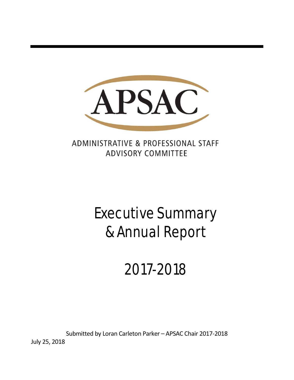

ADMINISTRATIVE & PROFESSIONAL STAFF **ADVISORY COMMITTEE** 

# Executive Summary & Annual Report

## 2017-2018

Submitted by Loran Carleton Parker – APSAC Chair 2017-2018

July 25, 2018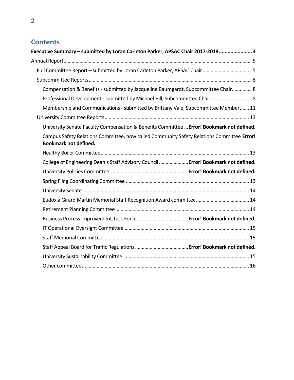## **Contents**

| Executive Summary - submitted by Loran Carleton Parker, APSAC Chair 2017-20183                                            |
|---------------------------------------------------------------------------------------------------------------------------|
|                                                                                                                           |
| Full Committee Report - submitted by Loran Carleton Parker, APSAC Chair  5                                                |
|                                                                                                                           |
| Compensation & Benefits - submitted by Jacqueline Baumgardt, Subcommittee Chair 8                                         |
| Professional Development - submitted by Michael Hill, Subcommittee Chair 8                                                |
| Membership and Communications - submitted by Brittany Vale, Subcommittee Member 11                                        |
|                                                                                                                           |
| University Senate Faculty Compensation & Benefits Committee  Error! Bookmark not defined.                                 |
| Campus Safety Relations Committee, now called Community Safety Relations Committee Error!<br><b>Bookmark not defined.</b> |
|                                                                                                                           |
| College of Engineering Dean's Staff Advisory Council  Error! Bookmark not defined.                                        |
|                                                                                                                           |
|                                                                                                                           |
|                                                                                                                           |
|                                                                                                                           |
|                                                                                                                           |
|                                                                                                                           |
|                                                                                                                           |
|                                                                                                                           |
|                                                                                                                           |
|                                                                                                                           |
|                                                                                                                           |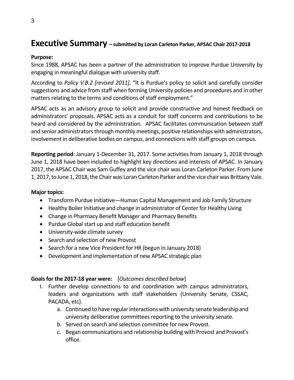## <span id="page-2-0"></span>**Executive Summary – submitted by Loran Carleton Parker, APSAC Chair 2017-2018**

## **Purpose:**

Since 1988, APSAC has been a partner of the administration to improve Purdue University by engaging in meaningful dialogue with university staff.

According to *Policy V.B.2 [revised 2011]*, "It is Purdue's policy to solicit and carefully consider suggestions and advice from staff when forming University policies and procedures and in other matters relating to the terms and conditions of staff employment."

APSAC acts as an advisory group to solicit and provide constructive and honest feedback on administrators' proposals. APSAC acts as a conduit for staff concerns and contributions to be heard and considered by the administration. APSAC facilitates communication between staff and senior administrators through monthly meetings, positive relationships with administrators, involvement in deliberative bodies on campus, and connections with staff groups on campus.

**Reporting period**: January 1-December 31, 2017. Some activities from January 1, 2018 through June 1, 2018 have been included to highlight key directions and interests of APSAC. In January 2017, the APSAC Chair was Sam Guffey and the vice chair was Loran Carleton Parker. From June 1, 2017, to June 1, 2018, the Chair was Loran Carleton Parker and the vice chair was Brittany Vale.

## **Major topics:**

- Transform Purdue Initiative—Human Capital Management and Job Family Structure
- Healthy Boiler Initiative and change in administrator of Center for Healthy Living
- Change in Pharmacy Benefit Manager and Pharmacy Benefits
- Purdue Global start up and staff education benefit
- University-wide climate survey
- Search and selection of new Provost
- Search for a new Vice President for HR (begun in January 2018)
- Development and implementation of new APSAC strategic plan

## **Goals for the 2017-18 year were:** [*Outcomes described below*]

- I. Further develop connections to and coordination with campus administrators, leaders and organizations with staff stakeholders (University Senate, CSSAC, PACADA, etc).
	- a. Continued to have regular interactions with university senate leadership and university deliberative committees reporting to the university senate.
	- b. Served on search and selection committee for new Provost.
	- c. Began communications and relationship building with Provost and Provost's office.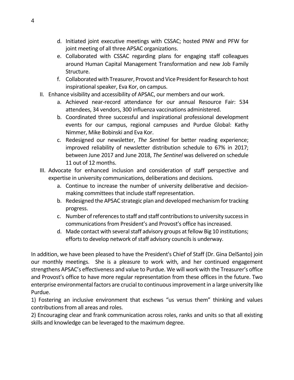- d. Initiated joint executive meetings with CSSAC; hosted PNW and PFW for joint meeting of all three APSAC organizations.
- e. Collaborated with CSSAC regarding plans for engaging staff colleagues around Human Capital Management Transformation and new Job Family Structure.
- f. Collaborated with Treasurer, Provost and Vice President for Research to host inspirational speaker, Eva Kor, on campus.
- II. Enhance visibility and accessibility of APSAC, our members and our work.
	- a. Achieved near-record attendance for our annual Resource Fair: 534 attendees, 34 vendors, 300 influenza vaccinations administered.
	- b. Coordinated three successful and inspirational professional development events for our campus, regional campuses and Purdue Global: Kathy Nimmer, Mike Bobinski and Eva Kor.
	- c. Redesigned our newsletter, *The Sentinel* for better reading experience; improved reliability of newsletter distribution schedule to 67% in 2017; between June 2017 and June 2018, *The Sentinel* was delivered on schedule 11 out of 12 months.
- III. Advocate for enhanced inclusion and consideration of staff perspective and expertise in university communications, deliberations and decisions.
	- a. Continue to increase the number of university deliberative and decisionmaking committees that include staff representation.
	- b. Redesigned the APSAC strategic plan and developed mechanism for tracking progress.
	- c. Number of references to staff and staff contributions to university success in communications from President's and Provost's office has increased.
	- d. Made contact with several staff advisory groups at fellow Big 10 institutions; efforts to develop network of staff advisory councils is underway.

In addition, we have been pleased to have the President's Chief of Staff (Dr. Gina DelSanto) join our monthly meetings. She is a pleasure to work with, and her continued engagement strengthens APSAC's effectiveness and value to Purdue. We will work with the Treasurer's office and Provost's office to have more regular representation from these offices in the future. Two enterprise environmental factors are crucial to continuous improvement in a large university like Purdue.

1) Fostering an inclusive environment that eschews "us versus them" thinking and values contributions from all areas and roles.

2) Encouraging clear and frank communication across roles, ranks and units so that all existing skills and knowledge can be leveraged to the maximum degree.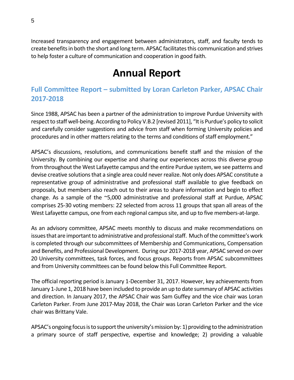<span id="page-4-0"></span>Increased transparency and engagement between administrators, staff, and faculty tends to create benefits in both the short and long term. APSAC facilitates this communication and strives to help foster a culture of communication and cooperation in good faith.

## **Annual Report**

## <span id="page-4-1"></span>**Full Committee Report – submitted by Loran Carleton Parker, APSAC Chair 2017-2018**

Since 1988, APSAC has been a partner of the administration to improve Purdue University with respect to staff well-being. According to Policy V.B.2 [revised 2011], "It is Purdue's policy to solicit and carefully consider suggestions and advice from staff when forming University policies and procedures and in other matters relating to the terms and conditions of staff employment."

APSAC's discussions, resolutions, and communications benefit staff and the mission of the University. By combining our expertise and sharing our experiences across this diverse group from throughout the West Lafayette campus and the entire Purdue system, we see patterns and devise creative solutions that a single area could never realize. Not only does APSAC constitute a representative group of administrative and professional staff available to give feedback on proposals, but members also reach out to their areas to share information and begin to effect change. As a sample of the ~5,000 administrative and professional staff at Purdue, APSAC comprises 25-30 voting members: 22 selected from across 11 groups that span all areas of the West Lafayette campus, one from each regional campus site, and up to five members-at-large.

As an advisory committee, APSAC meets monthly to discuss and make recommendations on issues that are important to administrative and professional staff. Much of the committee's work is completed through our subcommittees of Membership and Communications, Compensation and Benefits, and Professional Development. During our 2017-2018 year, APSAC served on over 20 University committees, task forces, and focus groups. Reports from APSAC subcommittees and from University committees can be found below this Full Committee Report.

The official reporting period is January 1-December 31, 2017. However, key achievements from January 1-June 1, 2018 have been included to provide an up to date summary of APSAC activities and direction. In January 2017, the APSAC Chair was Sam Guffey and the vice chair was Loran Carleton Parker. From June 2017-May 2018, the Chair was Loran Carleton Parker and the vice chair was Brittany Vale.

APSAC's ongoing focus isto support the university's mission by: 1) providing to the administration a primary source of staff perspective, expertise and knowledge; 2) providing a valuable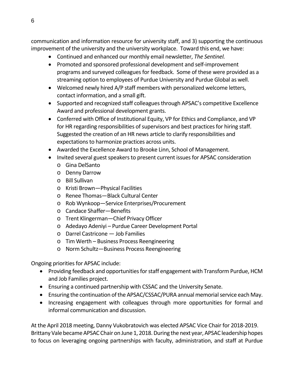communication and information resource for university staff, and 3) supporting the continuous improvement of the university and the university workplace. Toward this end, we have:

- Continued and enhanced our monthly email newsletter, *The Sentinel.*
- Promoted and sponsored professional development and self-improvement programs and surveyed colleagues for feedback. Some of these were provided as a streaming option to employees of Purdue University and Purdue Global as well.
- Welcomed newly hired A/P staff members with personalized welcome letters, contact information, and a small gift.
- Supported and recognized staff colleagues through APSAC's competitive Excellence Award and professional development grants.
- Conferred with Office of Institutional Equity, VP for Ethics and Compliance, and VP for HR regarding responsibilities of supervisors and best practices for hiring staff. Suggested the creation of an HR news article to clarify responsibilities and expectations to harmonize practices across units.
- Awarded the Excellence Award to Brooke Linn, School of Management.
- Invited several guest speakers to present current issues for APSAC consideration
	- o Gina DelSanto
	- o Denny Darrow
	- o Bill Sullivan
	- o Kristi Brown—Physical Facilities
	- o Renee Thomas—Black Cultural Center
	- o Rob Wynkoop—Service Enterprises/Procurement
	- o Candace Shaffer—Benefits
	- o Trent Klingerman—Chief Privacy Officer
	- o Adedayo Adeniyi Purdue Career Development Portal
	- o Darrel Castricone Job Families
	- o Tim Werth Business Process Reengineering
	- o Norm Schultz—Business Process Reengineering

Ongoing priorities for APSAC include:

- Providing feedback and opportunities for staff engagement with Transform Purdue, HCM and Job Families project.
- Ensuring a continued partnership with CSSAC and the University Senate.
- Ensuring the continuation of the APSAC/CSSAC/PURA annual memorial service each May.
- Increasing engagement with colleagues through more opportunities for formal and informal communication and discussion.

At the April 2018 meeting, Danny Vukobratovich was elected APSAC Vice Chair for 2018-2019. Brittany Vale became APSAC Chair on June 1, 2018. During the next year, APSAC leadership hopes to focus on leveraging ongoing partnerships with faculty, administration, and staff at Purdue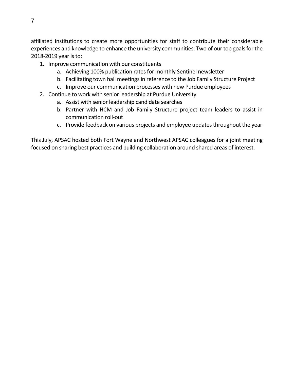affiliated institutions to create more opportunities for staff to contribute their considerable experiences and knowledge to enhance the university communities. Two of our top goals for the 2018-2019 year is to:

- 1. Improve communication with our constituents
	- a. Achieving 100% publication rates for monthly Sentinel newsletter
	- b. Facilitating town hall meetings in reference to the Job Family Structure Project
	- c. Improve our communication processes with new Purdue employees
- 2. Continue to work with senior leadership at Purdue University
	- a. Assist with senior leadership candidate searches
	- b. Partner with HCM and Job Family Structure project team leaders to assist in communication roll-out
	- c. Provide feedback on various projects and employee updates throughout the year

This July, APSAC hosted both Fort Wayne and Northwest APSAC colleagues for a joint meeting focused on sharing best practices and building collaboration around shared areas of interest.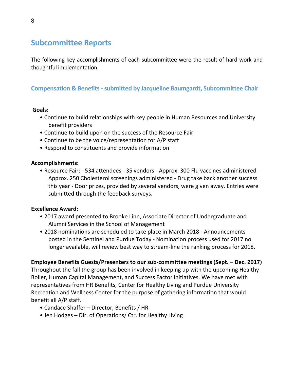## <span id="page-7-0"></span>**Subcommittee Reports**

The following key accomplishments of each subcommittee were the result of hard work and thoughtful implementation.

## <span id="page-7-1"></span>**Compensation & Benefits - submitted by Jacqueline Baumgardt, Subcommittee Chair**

### <span id="page-7-2"></span>**Goals:**

- Continue to build relationships with key people in Human Resources and University benefit providers
- Continue to build upon on the success of the Resource Fair
- Continue to be the voice/representation for A/P staff
- Respond to constituents and provide information

## **Accomplishments:**

• Resource Fair: - 534 attendees - 35 vendors - Approx. 300 Flu vaccines administered - Approx. 250 Cholesterol screenings administered - Drug take back another success this year - Door prizes, provided by several vendors, were given away. Entries were submitted through the feedback surveys.

## **Excellence Award:**

- 2017 award presented to Brooke Linn, Associate Director of Undergraduate and Alumni Services in the School of Management
- 2018 nominations are scheduled to take place in March 2018 Announcements posted in the Sentinel and Purdue Today - Nomination process used for 2017 no longer available, will review best way to stream-line the ranking process for 2018.

## **Employee Benefits Guests/Presenters to our sub-committee meetings (Sept. – Dec. 2017)**

Throughout the fall the group has been involved in keeping up with the upcoming Healthy Boiler, Human Capital Management, and Success Factor initiatives. We have met with representatives from HR Benefits, Center for Healthy Living and Purdue University Recreation and Wellness Center for the purpose of gathering information that would benefit all A/P staff.

- Candace Shaffer Director, Benefits / HR
- Jen Hodges Dir. of Operations/ Ctr. for Healthy Living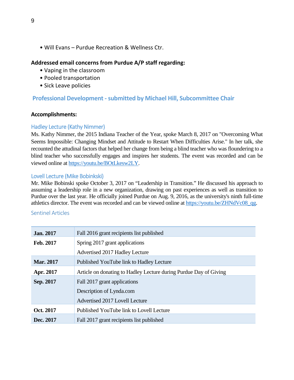• Will Evans – Purdue Recreation & Wellness Ctr.

## **Addressed email concerns from Purdue A/P staff regarding:**

- Vaping in the classroom
- Pooled transportation
- Sick Leave policies

## **Professional Development -submitted by Michael Hill, Subcommittee Chair**

#### **Accomplishments:**

## Hadley Lecture (Kathy Nimmer)

Ms. Kathy Nimmer, the 2015 Indiana Teacher of the Year, spoke March 8, 2017 on "Overcoming What Seems Impossible: Changing Mindset and Attitude to Restart When Difficulties Arise." In her talk, she recounted the attudinal factors that helped her change from being a blind teacher who was floundering to a blind teacher who successfully engages and inspires her students. The event was recorded and can be viewed online at [https://youtu.be/BOtLkesw2LY.](https://youtu.be/BOtLkesw2LY)

### Lovell Lecture (Mike Bobinkski)

Mr. Mike Bobinski spoke October 3, 2017 on "Leadership in Transition." He discussed his approach to assuming a leadership role in a new organization, drawing on past experiences as well as transition to Purdue over the last year. He officially joined Purdue on Aug. 9, 2016, as the university's ninth full-time athletics director. The event was recorded and can be viewed online at [https://youtu.be/ZHNdVc08\\_qg.](https://youtu.be/ZHNdVc08_qg)

### Sentinel Articles

| <b>Jan. 2017</b> | Fall 2016 grant recipients list published                         |  |  |  |
|------------------|-------------------------------------------------------------------|--|--|--|
| Feb. 2017        | Spring 2017 grant applications                                    |  |  |  |
|                  | Advertised 2017 Hadley Lecture                                    |  |  |  |
| <b>Mar. 2017</b> | Published YouTube link to Hadley Lecture                          |  |  |  |
| Apr. 2017        | Article on donating to Hadley Lecture during Purdue Day of Giving |  |  |  |
| Sep. 2017        | Fall 2017 grant applications                                      |  |  |  |
|                  | Description of Lynda.com                                          |  |  |  |
|                  | Advertised 2017 Lovell Lecture                                    |  |  |  |
| Oct. 2017        | Published YouTube link to Lovell Lecture                          |  |  |  |
| Dec. 2017        | Fall 2017 grant recipients list published                         |  |  |  |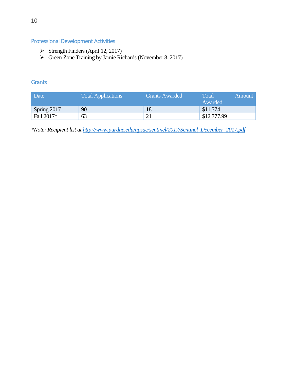## Professional Development Activities

- $\triangleright$  Strength Finders (April 12, 2017)
- $\triangleright$  Green Zone Training by Jamie Richards (November 8, 2017)

### **Grants**

| Date        | <b>Total Applications</b> | <b>Grants Awarded</b> | Total<br>Amount<br>Awarded |
|-------------|---------------------------|-----------------------|----------------------------|
| Spring 2017 | 90                        | 18                    | \$11,774                   |
| Fall 2017*  | 63                        |                       | \$12,777.99                |

*\*Note: Recipient list a[t http://www.purdue.edu/apsac/sentinel/2017/Sentinel\\_December\\_2017.pdf](http://www.purdue.edu/apsac/sentinel/2017/Sentinel_December_2017.pdf)*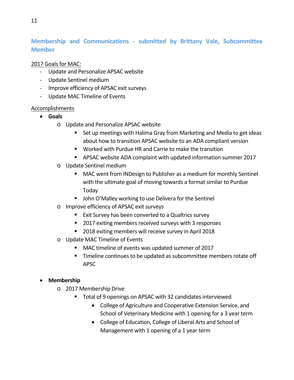## <span id="page-10-0"></span>**Membership and Communications - submitted by Brittany Vale, Subcommittee Member**

## 2017 Goals for MAC:

- Update and Personalize APSAC website
- Update Sentinel medium
- Improve efficiency of APSAC exit surveys
- Update MAC Timeline of Events

## **Accomplishments**

- **Goals**
	- o Update and Personalize APSAC website
		- Set up meetings with Halima Gray from Marketing and Media to get ideas about how to transition APSAC website to an ADA compliant version
		- Worked with Purdue HR and Carrie to make the transition
		- APSAC website ADA complaint with updated information summer 2017
	- o Update Sentinel medium
		- MAC went from INDesign to Publisher as a medium for monthly Sentinel with the ultimate goal of moving towards a format similar to Purdue Today
		- **John O'Malley working to use Delivera for the Sentinel**
	- o Improve efficiency of APSAC exit surveys
		- Exit Survey has been converted to a Qualtrics survey
		- 2017 exiting members received surveys with 3 responses
		- 2018 exiting members will receive survey in April 2018
	- o Update MAC Timeline of Events
		- MAC timeline of events was updated summer of 2017
		- **Timeline continues to be updated as subcommittee members rotate off** APSC

## • **Membership**

- o 2017 Membership Drive
	- Total of 9 openings on APSAC with 32 candidates interviewed
		- College of Agriculture and Cooperative Extension Service, and School of Veterinary Medicine with 1 opening for a 3 year term
		- College of Education, College of Liberal Arts and School of Management with 1 opening of a 1 year term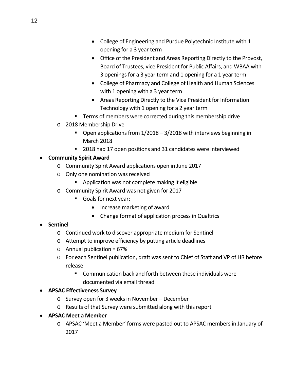- College of Engineering and Purdue Polytechnic Institute with 1 opening for a 3 year term
- Office of the President and Areas Reporting Directly to the Provost, Board of Trustees, vice President for Public Affairs, and WBAA with 3 openings for a 3 year term and 1 opening for a 1 year term
- College of Pharmacy and College of Health and Human Sciences with 1 opening with a 3 year term
- Areas Reporting Directly to the Vice President for Information Technology with 1 opening for a 2 year term
- **Terms of members were corrected during this membership drive**
- o 2018 Membership Drive
	- Open applications from 1/2018 3/2018 with interviews beginning in March 2018
	- 2018 had 17 open positions and 31 candidates were interviewed

## • **Community Spirit Award**

- o Community Spirit Award applications open in June 2017
- o Only one nomination was received
	- **E** Application was not complete making it eligible
- o Community Spirit Award was not given for 2017
	- Goals for next year:
		- Increase marketing of award
		- Change format of application process in Qualtrics

## • **Sentinel**

- o Continued work to discover appropriate medium for Sentinel
- o Attempt to improve efficiency by putting article deadlines
- $\circ$  Annual publication = 67%
- o For each Sentinel publication, draft was sent to Chief of Staff and VP of HR before release
	- Communication back and forth between these individuals were documented via email thread

## • **APSAC Effectiveness Survey**

- o Survey open for 3 weeks in November December
- o Results of that Survey were submitted along with this report
- **APSAC Meet a Member**
	- o APSAC 'Meet a Member' forms were pasted out to APSAC members in January of 2017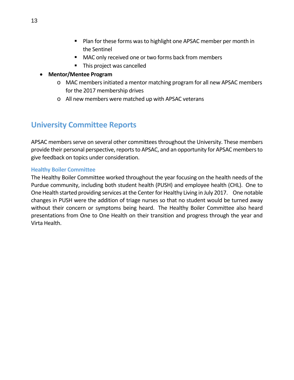- **Plan for these forms was to highlight one APSAC member per month in** the Sentinel
- MAC only received one or two forms back from members
- This project was cancelled
- **Mentor/Mentee Program**
	- o MAC members initiated a mentor matching program for all new APSAC members for the 2017 membership drives
	- o All new members were matched up with APSAC veterans

## <span id="page-12-0"></span>**University Committee Reports**

APSAC members serve on several other committees throughout the University. These members provide their personal perspective, reports to APSAC, and an opportunity for APSAC members to give feedback on topics under consideration.

## <span id="page-12-1"></span>**Healthy Boiler Committee**

<span id="page-12-2"></span>The Healthy Boiler Committee worked throughout the year focusing on the health needs of the Purdue community, including both student health (PUSH) and employee health (CHL). One to One Health started providing services at the Center for Healthy Living in July 2017. One notable changes in PUSH were the addition of triage nurses so that no student would be turned away without their concern or symptoms being heard. The Healthy Boiler Committee also heard presentations from One to One Health on their transition and progress through the year and Virta Health.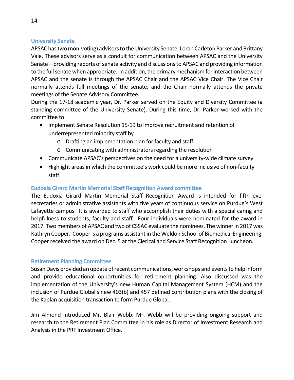## <span id="page-13-0"></span>**University Senate**

APSAC has two (non-voting) advisors to the University Senate: Loran Carleton Parker and Brittany Vale. These advisors serve as a conduit for communication between APSAC and the University Senate—providing reports of senate activity and discussions to APSAC and providing information to the full senate when appropriate. In addition, the primary mechanism for interaction between APSAC and the senate is through the APSAC Chair and the APSAC Vice Chair. The Vice Chair normally attends full meetings of the senate, and the Chair normally attends the private meetings of the Senate Advisory Committee.

During the 17-18 academic year, Dr. Parker served on the Equity and Diversity Committee (a standing committee of the University Senate). During this time, Dr. Parker worked with the committee to:

- Implement Senate Resolution 15-19 to improve recruitment and retention of underrepresented minority staff by
	- o Drafting an implementation plan for faculty and staff
	- o Communicating with administrators regarding the resolution
- Communicate APSAC's perspectives on the need for a university-wide climate survey
- Highlight areas in which the committee's work could be more inclusive of non-faculty staff

## <span id="page-13-1"></span>**Eudoxia Girard Martin Memorial Staff Recognition Award committee**

The Eudoxia Girard Martin Memorial Staff Recognition Award is intended for fifth-level secretaries or administrative assistants with five years of continuous service on Purdue's West Lafayette campus. It is awarded to staff who accomplish their duties with a special caring and helpfulness to students, faculty and staff. Four individuals were nominated for the award in 2017. Twomembers of APSAC and two of CSSAC evaluate the nominees. The winner in 2017 was Kathryn Cooper. Cooperis a programs assistant in the Weldon School of Biomedical Engineering. Cooper received the award on Dec. 5 at the Clerical and Service Staff Recognition Luncheon.

## <span id="page-13-2"></span>**Retirement Planning Committee**

SusanDavis provided an update of recent communications, workshops and events to help inform and provide educational opportunities for retirement planning. Also discussed was the implementation of the University's new Human Capital Management System (HCM) and the inclusion of Purdue Global's new 403(b) and 457 defined contribution plans with the closing of the Kaplan acquisition transaction to form Purdue Global.

Jim Almond introduced Mr. Blair Webb. Mr. Webb will be providing ongoing support and research to the Retirement Plan Committee in his role as Director of Investment Research and Analysis in the PRF Investment Office.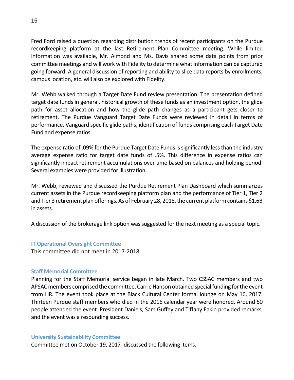Fred Ford raised a question regarding distribution trends of recent participants on the Purdue recordkeeping platform at the last Retirement Plan Committee meeting. While limited information was available, Mr. Almond and Ms. Davis shared some data points from prior committee meetings and will work with Fidelity to determine what information can be captured going forward. A general discussion of reporting and ability to slice data reports by enrollments, campus location, etc. will also be explored with Fidelity.

Mr. Webb walked through a Target Date Fund review presentation. The presentation defined target date funds in general, historical growth of these funds as an investment option, the glide path for asset allocation and how the glide path changes as a participant gets closer to retirement. The Purdue Vanguard Target Date Funds were reviewed in detail in terms of performance, Vanguard specific glide paths, identification of funds comprising each Target Date Fund and expense ratios.

The expense ratio of .09% for the Purdue Target Date Funds is significantly less than the industry average expense ratio for target date funds of .5%. This difference in expense ratios can significantly impact retirement accumulations over time based on balances and holding period. Several examples were provided for illustration.

Mr. Webb, reviewed and discussed the Purdue Retirement Plan Dashboard which summarizes current assets in the Purdue recordkeeping platform plan and the performance of Tier 1, Tier 2 and Tier 3 retirement plan offerings. As of February 28, 2018, the current platform contains \$1.6B in assets.

A discussion of the brokerage link option was suggested for the next meeting as a special topic.

### <span id="page-14-0"></span>**IT Operational Oversight Committee**

This committee did not meet in 2017-2018.

### <span id="page-14-1"></span>**Staff Memorial Committee**

Planning for the Staff Memorial service began in late March. Two CSSAC members and two APSAC members comprised the committee. Carrie Hanson obtained special funding for the event from HR. The event took place at the Black Cultural Center formal lounge on May 16, 2017. Thirteen Purdue staff members who died in the 2016 calendar year were honored. Around 50 people attended the event. President Daniels, Sam Guffey and Tiffany Eakin provided remarks, and the event was a resounding success.

### <span id="page-14-2"></span>**University Sustainability Committee**

Committee met on October 19, 2017- discussed the following items.